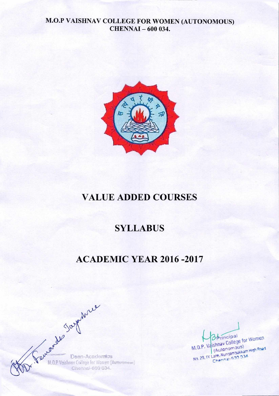

# **VALUE ADDED COURSES**

# **SYLLABUS**

# **ACADEMIC YEAR 2016 -2017**

Jarry Male Vaishner Collans for the **M.O.P. Vaishnav College for Women (Autonomous)** Chennai-600 034.

**College** for No. 20, IV Lane, Nungambakkam High Road High P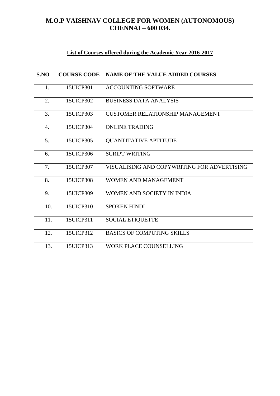# **List of Courses offered during the Academic Year 2016-2017**

| S.NO             | <b>COURSE CODE</b> | <b>NAME OF THE VALUE ADDED COURSES</b>      |
|------------------|--------------------|---------------------------------------------|
| 1.               | 15UICP301          | <b>ACCOUNTING SOFTWARE</b>                  |
| 2.               | 15UICP302          | <b>BUSINESS DATA ANALYSIS</b>               |
| 3.               | 15UICP303          | <b>CUSTOMER RELATIONSHIP MANAGEMENT</b>     |
| $\overline{4}$ . | 15UICP304          | <b>ONLINE TRADING</b>                       |
| 5.               | 15UICP305          | QUANTITATIVE APTITUDE                       |
| 6.               | 15UICP306          | <b>SCRIPT WRITING</b>                       |
| 7.               | 15UICP307          | VISUALISING AND COPYWRITING FOR ADVERTISING |
| 8.               | 15UICP308          | <b>WOMEN AND MANAGEMENT</b>                 |
| 9.               | 15UICP309          | WOMEN AND SOCIETY IN INDIA                  |
| 10.              | 15UICP310          | <b>SPOKEN HINDI</b>                         |
| 11.              | 15UICP311          | <b>SOCIAL ETIQUETTE</b>                     |
| 12.              | 15UICP312          | <b>BASICS OF COMPUTING SKILLS</b>           |
| 13.              | 15UICP313          | <b>WORK PLACE COUNSELLING</b>               |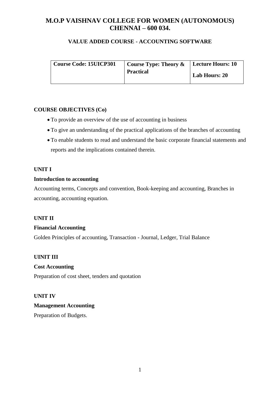#### **VALUE ADDED COURSE - ACCOUNTING SOFTWARE**

| Course Code: 15UICP301 | Course Type: Theory $\&$ | Lecture Hours: 10 |
|------------------------|--------------------------|-------------------|
|                        | <b>Practical</b>         | Lab Hours: 20     |

#### **COURSE OBJECTIVES (Co)**

- To provide an overview of the use of accounting in business
- To give an understanding of the practical applications of the branches of accounting
- To enable students to read and understand the basic corporate financial statements and reports and the implications contained therein.

#### **UNIT I**

#### **Introduction to accounting**

Accounting terms, Concepts and convention, Book-keeping and accounting, Branches in accounting, accounting equation.

#### **UNIT II**

#### **Financial Accounting**

Golden Principles of accounting, Transaction - Journal, Ledger, Trial Balance

#### **UINIT III**

# **Cost Accounting**

Preparation of cost sheet, tenders and quotation

## **UNIT IV**

# **Management Accounting** Preparation of Budgets.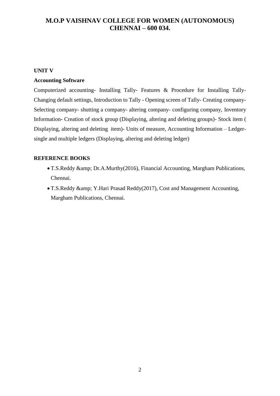#### **UNIT V**

#### **Accounting Software**

Computerized accounting- Installing Tally- Features & Procedure for Installing Tally-Changing default settings, Introduction to Tally - Opening screen of Tally- Creating company-Selecting company- shutting a company- altering company- configuring company, Inventory Information- Creation of stock group (Displaying, altering and deleting groups)- Stock item ( Displaying, altering and deleting item)- Units of measure, Accounting Information – Ledgersingle and multiple ledgers (Displaying, altering and deleting ledger)

- T.S.Reddy & amp; Dr.A.Murthy(2016), Financial Accounting, Margham Publications, Chennai.
- T.S.Reddy & amp; Y.Hari Prasad Reddy(2017), Cost and Management Accounting, Margham Publications, Chennai.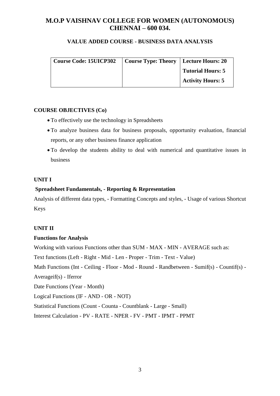#### **VALUE ADDED COURSE - BUSINESS DATA ANALYSIS**

| Course Code: 15UICP302   Course Type: Theory   Lecture Hours: 20 |                          |
|------------------------------------------------------------------|--------------------------|
|                                                                  | Tutorial Hours: 5        |
|                                                                  | <b>Activity Hours: 5</b> |

#### **COURSE OBJECTIVES (Co)**

- To effectively use the technology in Spreadsheets
- To analyze business data for business proposals, opportunity evaluation, financial reports, or any other business finance application
- To develop the students ability to deal with numerical and quantitative issues in business

#### **UNIT I**

#### **Spreadsheet Fundamentals, - Reporting & Representation**

Analysis of different data types, - Formatting Concepts and styles, - Usage of various Shortcut Keys

#### **UNIT II**

#### **Functions for Analysis**

Working with various Functions other than SUM - MAX - MIN - AVERAGE such as:

Text functions (Left - Right - Mid - Len - Proper - Trim - Text - Value)

Math Functions (Int - Ceiling - Floor - Mod - Round - Randbetween - Sumif(s) - Countif(s) -

Averageif(s) - Iferror

Date Functions (Year - Month)

Logical Functions (IF - AND - OR - NOT)

Statistical Functions (Count - Counta - Countblank - Large - Small)

Interest Calculation - PV - RATE - NPER - FV - PMT - IPMT - PPMT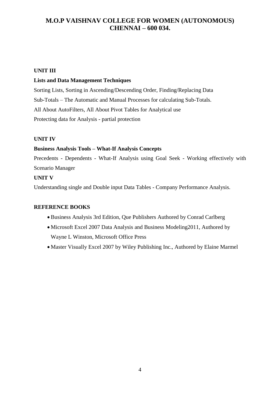#### **UNIT III**

#### **Lists and Data Management Techniques**

Sorting Lists, Sorting in Ascending/Descending Order, Finding/Replacing Data Sub-Totals – The Automatic and Manual Processes for calculating Sub-Totals. All About AutoFilters, All About Pivot Tables for Analytical use Protecting data for Analysis - partial protection

#### **UNIT IV**

#### **Business Analysis Tools – What-If Analysis Concepts**

Precedents - Dependents - What-If Analysis using Goal Seek - Working effectively with Scenario Manager

#### **UNIT V**

Understanding single and Double input Data Tables - Company Performance Analysis.

- Business Analysis 3rd Edition, Que Publishers Authored by Conrad Carlberg
- Microsoft Excel 2007 Data Analysis and Business Modeling2011, Authored by Wayne L Winston, Microsoft Office Press
- Master Visually Excel 2007 by Wiley Publishing Inc., Authored by Elaine Marmel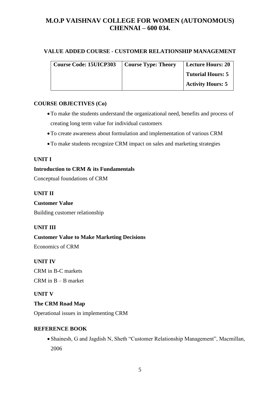#### **VALUE ADDED COURSE - CUSTOMER RELATIONSHIP MANAGEMENT**

| <b>Course Code: 15UICP303</b> | Course Type: Theory | Lecture Hours: 20        |
|-------------------------------|---------------------|--------------------------|
|                               |                     | <b>Tutorial Hours: 5</b> |
|                               |                     | <b>Activity Hours: 5</b> |

#### **COURSE OBJECTIVES (Co)**

- To make the students understand the organizational need, benefits and process of creating long term value for individual customers
- To create awareness about formulation and implementation of various CRM
- To make students recognize CRM impact on sales and marketing strategies

#### **UNIT I**

#### **Introduction to CRM & its Fundamentals**

Conceptual foundations of CRM

#### **UNIT II**

**Customer Value**  Building customer relationship

#### **UNIT III**

**Customer Value to Make Marketing Decisions**  Economics of CRM

#### **UNIT IV**

CRM in B-C markets

CRM in B – B market

#### **UNIT V**

#### **The CRM Road Map**

Operational issues in implementing CRM

#### **REFERENCE BOOK**

 Shainesh, G and Jagdish N, Sheth "Customer Relationship Management", Macmillan, 2006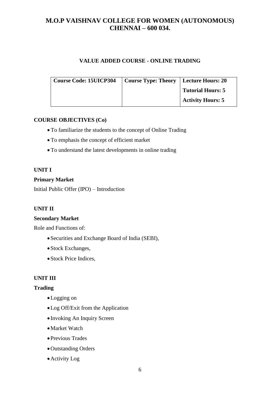#### **VALUE ADDED COURSE - ONLINE TRADING**

| <b>Course Code: 15UICP304</b> | <b>Course Type: Theory   Lecture Hours: 20</b> |                          |
|-------------------------------|------------------------------------------------|--------------------------|
|                               |                                                | <b>Tutorial Hours: 5</b> |
|                               |                                                | <b>Activity Hours: 5</b> |

#### **COURSE OBJECTIVES (Co)**

- To familiarize the students to the concept of Online Trading
- To emphasis the concept of efficient market
- To understand the latest developments in online trading

#### **UNIT I**

#### **Primary Market**

Initial Public Offer (IPO) – Introduction

#### **UNIT II**

#### **Secondary Market**

Role and Functions of:

- Securities and Exchange Board of India (SEBI),
- Stock Exchanges,
- Stock Price Indices,

#### **UNIT III**

#### **Trading**

- Logging on
- Log Off/Exit from the Application
- Invoking An Inquiry Screen
- Market Watch
- Previous Trades
- Outstanding Orders
- Activity Log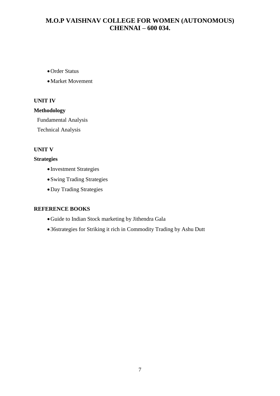- Order Status
- Market Movement

#### **UNIT IV**

#### **Methodology**

Fundamental Analysis

Technical Analysis

#### **UNIT V**

#### **Strategies**

- Investment Strategies
- Swing Trading Strategies
- Day Trading Strategies

- Guide to Indian Stock marketing by Jithendra Gala
- 36strategies for Striking it rich in Commodity Trading by Ashu Dutt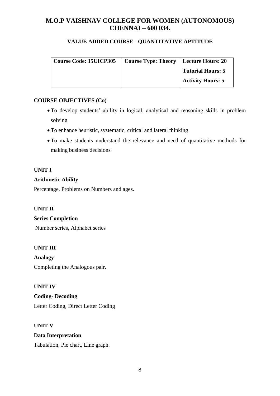#### **VALUE ADDED COURSE - QUANTITATIVE APTITUDE**

| <b>Course Code: 15UICP305</b> | Course Type: Theory   Lecture Hours: 20 |                          |
|-------------------------------|-----------------------------------------|--------------------------|
|                               |                                         | Tutorial Hours: 5        |
|                               |                                         | <b>Activity Hours: 5</b> |

#### **COURSE OBJECTIVES (Co)**

- To develop students' ability in logical, analytical and reasoning skills in problem solving
- To enhance heuristic, systematic, critical and lateral thinking
- To make students understand the relevance and need of quantitative methods for making business decisions

#### **UNIT I**

#### **Arithmetic Ability**

Percentage, Problems on Numbers and ages.

#### **UNIT II**

**Series Completion**

Number series, Alphabet series

#### **UNIT III**

**Analogy** Completing the Analogous pair.

**UNIT IV Coding- Decoding** Letter Coding, Direct Letter Coding

**UNIT V**

**Data Interpretation** Tabulation, Pie chart, Line graph.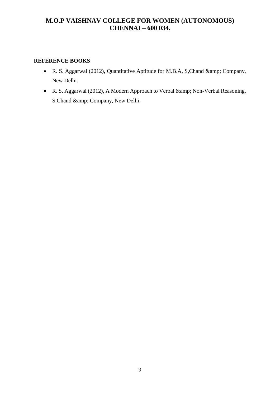- R. S. Aggarwal (2012), Quantitative Aptitude for M.B.A, S,Chand & amp; Company, New Delhi.
- R. S. Aggarwal (2012), A Modern Approach to Verbal & amp; Non-Verbal Reasoning, S.Chand & amp; Company, New Delhi.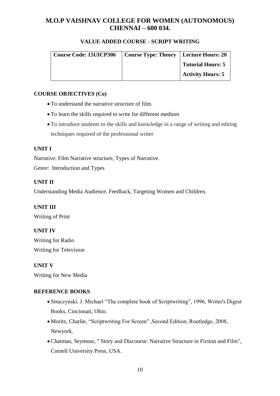#### **VALUE ADDED COURSE - SCRIPT WRITING**

| <b>Course Code: 15UICP306</b> | Course Type: Theory   Lecture Hours: 20 |                          |
|-------------------------------|-----------------------------------------|--------------------------|
|                               |                                         | <b>Tutorial Hours: 5</b> |
|                               |                                         | <b>Activity Hours: 5</b> |

#### **COURSE OBJECTIVES (Co)**

- To understand the narrative structure of film.
- To learn the skills required to write for different medium
- To introduce students to the skills and knowledge in a range of writing and editing techniques required of the professional writer

#### **UNIT I**

Narrative: Film Narrative structure, Types of Narrative.

Genre: Introduction and Types

#### **UNIT II**

Understanding Media Audience, Feedback, Targeting Women and Children.

#### **UNIT III**

Writing of Print

#### **UNIT IV**

Writing for Radio Writing for Television

#### **UNIT V**

Writing for New Media

- Straczynski, J. Michael "The complete book of Scriptwriting", 1996, Writer's Digest Books, Cincinnati, Ohio.
- Moritz, Charlie, "Scriptwriting For Screen" ,Second Edition, Routledge, 2008, Newyork.
- Chatman, Seymour, " Story and Discourse: Narrative Structure in Fiction and Film", Cornell University Press, USA.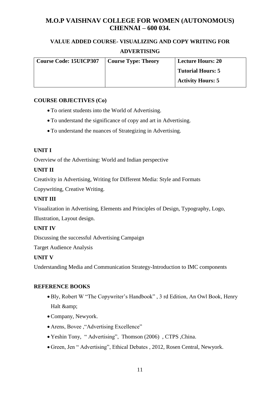#### **VALUE ADDED COURSE- VISUALIZING AND COPY WRITING FOR**

#### **ADVERTISING**

| <b>Course Code: 15UICP307</b> | <b>Course Type: Theory</b> | <b>Lecture Hours: 20</b> |
|-------------------------------|----------------------------|--------------------------|
|                               |                            | <b>Tutorial Hours: 5</b> |
|                               |                            | <b>Activity Hours: 5</b> |

#### **COURSE OBJECTIVES (Co)**

- To orient students into the World of Advertising.
- To understand the significance of copy and art in Advertising.
- To understand the nuances of Strategizing in Advertising.

#### **UNIT I**

Overview of the Advertising: World and Indian perspective

#### **UNIT II**

Creativity in Advertising, Writing for Different Media: Style and Formats

Copywriting, Creative Writing.

#### **UNIT III**

Visualization in Advertising, Elements and Principles of Design, Typography, Logo,

Illustration, Layout design.

#### **UNIT IV**

Discussing the successful Advertising Campaign

Target Audience Analysis

#### **UNIT V**

Understanding Media and Communication Strategy-Introduction to IMC components

- Bly, Robert W "The Copywriter's Handbook" , 3 rd Edition, An Owl Book, Henry Halt &
- Company, Newyork.
- Arens, Bovee , "Advertising Excellence"
- Yeshin Tony, " Advertising", Thomson (2006) , CTPS ,China.
- Green, Jen " Advertising", Ethical Debates , 2012, Rosen Central, Newyork.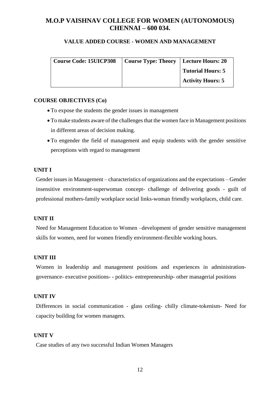#### **VALUE ADDED COURSE - WOMEN AND MANAGEMENT**

| <b>Course Code: 15UICP308</b> | Course Type: Theory   Lecture Hours: 20 |                          |
|-------------------------------|-----------------------------------------|--------------------------|
|                               |                                         | <b>Tutorial Hours: 5</b> |
|                               |                                         | <b>Activity Hours: 5</b> |

#### **COURSE OBJECTIVES (Co)**

- To expose the students the gender issues in management
- To make students aware of the challenges that the women face in Management positions in different areas of decision making.
- To engender the field of management and equip students with the gender sensitive perceptions with regard to management

#### **UNIT I**

Gender issues in Management – characteristics of organizations and the expectations – Gender insensitive environment-superwoman concept- challenge of delivering goods - guilt of professional mothers-family workplace social links-woman friendly workplaces, child care.

#### **UNIT II**

Need for Management Education to Women –development of gender sensitive management skills for women, need for women friendly environment-flexible working hours.

#### **UNIT III**

Women in leadership and management positions and experiences in administrationgovernance- executive positions- - politics- entrepreneurship- other managerial positions

#### **UNIT IV**

Differences in social communication - glass ceiling- chilly climate-tokenism- Need for capacity building for women managers.

#### **UNIT V**

Case studies of any two successful Indian Women Managers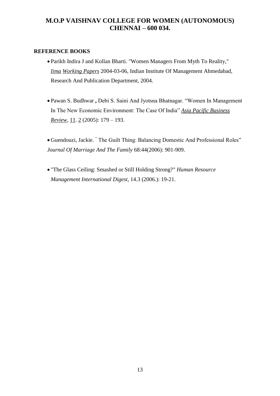#### **REFERENCE BOOKS**

- Parikh Indira J and Kollan Bharti. "Women Managers From Myth To Reality," *Iima Working Papers* 2004-03-06, Indian Institute Of Management Ahmedabad, Research And Publication Department, 2004.
- Pawan S. Budhwar **,** Debi S. Saini And Jyotsna Bhatnagar. "Women In Management In The New Economic Environment: The Case Of India" *Asia Pacific Business Review,* 11. 2 (2005): 179 – 193.

 Guendouzi, Jackie. " The Guilt Thing: Balancing Domestic And Professional Roles" *Journal Of Marriage And The Family* 68:44(2006): 901-909.

 "The Glass Ceiling: Smashed or Still Holding Strong?" *Human Resource Management International Digest*, 14.3 (2006.): 19-21.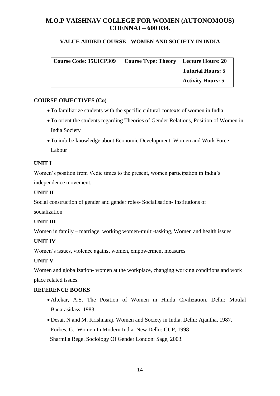#### **VALUE ADDED COURSE - WOMEN AND SOCIETY IN INDIA**

| <b>Course Code: 15UICP309</b> | Course Type: Theory   Lecture Hours: 20 |                          |
|-------------------------------|-----------------------------------------|--------------------------|
|                               |                                         | Tutorial Hours: 5        |
|                               |                                         | <b>Activity Hours: 5</b> |

#### **COURSE OBJECTIVES (Co)**

- To familiarize students with the specific cultural contexts of women in India
- To orient the students regarding Theories of Gender Relations, Position of Women in India Society
- To imbibe knowledge about Economic Development, Women and Work Force Labour

#### **UNIT I**

Women's position from Vedic times to the present, women participation in India's independence movement.

#### **UNIT II**

Social construction of gender and gender roles- Socialisation- Institutions of

socialization

#### **UNIT III**

Women in family – marriage, working women-multi-tasking, Women and health issues

#### **UNIT IV**

Women's issues, violence against women, empowerment measures

#### **UNIT V**

Women and globalization- women at the workplace, changing working conditions and work place related issues.

- Altekar, A.S. The Position of Women in Hindu Civilization, Delhi: Motilal Banarasidass, 1983.
- Desai, N and M. Krishnaraj. Women and Society in India. Delhi: Ajantha, 1987. Forbes, G.. Women In Modern India. New Delhi: CUP, 1998 Sharmila Rege. Sociology Of Gender London: Sage, 2003.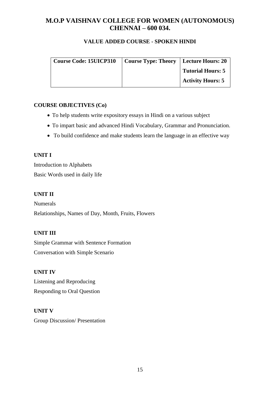#### **VALUE ADDED COURSE - SPOKEN HINDI**

| Course Code: 15UICP310 | Course Type: Theory   Lecture Hours: 20 |                          |
|------------------------|-----------------------------------------|--------------------------|
|                        |                                         | <b>Tutorial Hours: 5</b> |
|                        |                                         | <b>Activity Hours: 5</b> |

#### **COURSE OBJECTIVES (Co)**

- To help students write expository essays in Hindi on a various subject
- To impart basic and advanced Hindi Vocabulary, Grammar and Pronunciation.
- To build confidence and make students learn the language in an effective way

#### **UNIT I**

Introduction to Alphabets Basic Words used in daily life

### **UNIT II**

Numerals Relationships, Names of Day, Month, Fruits, Flowers

#### **UNIT III**

Simple Grammar with Sentence Formation Conversation with Simple Scenario

#### **UNIT IV**

Listening and Reproducing Responding to Oral Question

## **UNIT V**

Group Discussion/ Presentation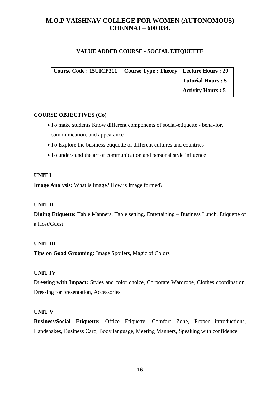#### **VALUE ADDED COURSE - SOCIAL ETIQUETTE**

| Course Code : 15UICP311   Course Type : Theory   Lecture Hours : 20 |                          |
|---------------------------------------------------------------------|--------------------------|
|                                                                     | <b>Tutorial Hours: 5</b> |
|                                                                     | <b>Activity Hours: 5</b> |

#### **COURSE OBJECTIVES (Co)**

- To make students Know different components of social-etiquette behavior, communication, and appearance
- To Explore the business etiquette of different cultures and countries
- To understand the art of communication and personal style influence

#### **UNIT I**

**Image Analysis:** What is Image? How is Image formed?

#### **UNIT II**

**Dining Etiquette:** Table Manners, Table setting, Entertaining – Business Lunch, Etiquette of a Host/Guest

#### **UNIT III**

**Tips on Good Grooming:** Image Spoilers, Magic of Colors

#### **UNIT IV**

**Dressing with Impact:** Styles and color choice, Corporate Wardrobe, Clothes coordination, Dressing for presentation, Accessories

#### **UNIT V**

**Business/Social Etiquette:** Office Etiquette, Comfort Zone, Proper introductions, Handshakes, Business Card, Body language, Meeting Manners, Speaking with confidence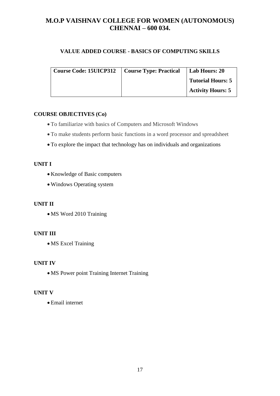#### **VALUE ADDED COURSE - BASICS OF COMPUTING SKILLS**

| <b>Course Code: 15UICP312</b> | Course Type: Practical | Lab Hours: 20            |
|-------------------------------|------------------------|--------------------------|
|                               |                        | <b>Tutorial Hours: 5</b> |
|                               |                        | <b>Activity Hours: 5</b> |

#### **COURSE OBJECTIVES (Co)**

- To familiarize with basics of Computers and Microsoft Windows
- To make students perform basic functions in a word processor and spreadsheet
- To explore the impact that technology has on individuals and organizations

#### **UNIT I**

- Knowledge of Basic computers
- Windows Operating system

#### **UNIT II**

• MS Word 2010 Training

#### **UNIT III**

• MS Excel Training

#### **UNIT IV**

MS Power point Training Internet Training

#### **UNIT V**

Email internet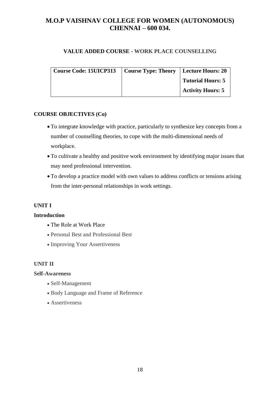#### **VALUE ADDED COURSE - WORK PLACE COUNSELLING**

| <b>Course Code: 15UICP313</b> | Course Type: Theory   Lecture Hours: 20 |                          |
|-------------------------------|-----------------------------------------|--------------------------|
|                               |                                         | <b>Tutorial Hours: 5</b> |
|                               |                                         | <b>Activity Hours: 5</b> |

#### **COURSE OBJECTIVES (Co)**

- To integrate knowledge with practice, particularly to synthesize key concepts from a number of counselling theories, to cope with the multi-dimensional needs of workplace.
- To cultivate a healthy and positive work environment by identifying major issues that may need professional intervention.
- To develop a practice model with own values to address conflicts or tensions arising from the inter-personal relationships in work settings.

#### **UNIT I**

#### **Introduction**

- The Role at Work Place
- Personal Best and Professional Best
- Improving Your Assertiveness

#### **UNIT II**

#### **Self-Awareness**

- Self-Management
- Body Language and Frame of Reference
- Assertiveness